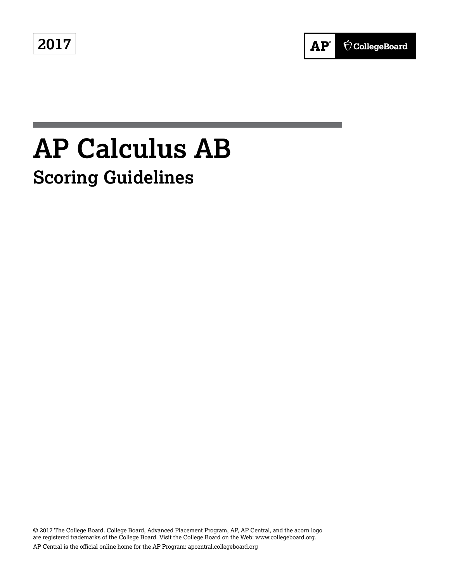**2017**



# **AP Calculus AB Scoring Guidelines**

© 2017 The College Board. College Board, Advanced Placement Program, AP, AP Central, and the acorn logo are registered trademarks of the College Board. Visit the College Board on the Web: www.collegeboard.org. AP Central is the official online home for the AP Program: apcentral.collegeboard.org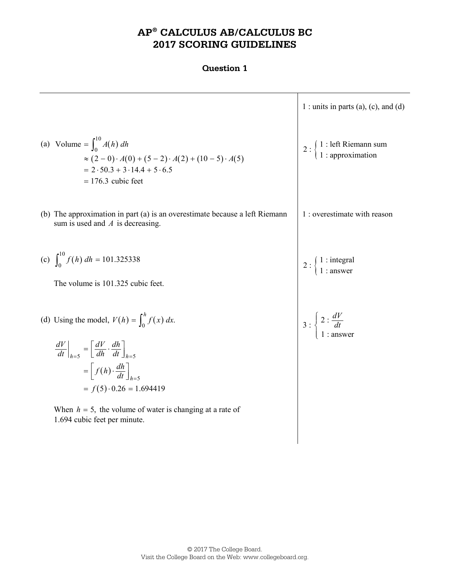# **AP® CALCULUS AB/CALCULUS BC 2017 SCORING GUIDELINES**

|                                                                                                                                                                                                                                     | 1 : units in parts (a), (c), and (d)                                                    |
|-------------------------------------------------------------------------------------------------------------------------------------------------------------------------------------------------------------------------------------|-----------------------------------------------------------------------------------------|
| (a) Volume = $\int_0^{10} A(h) dh$<br>$\approx (2-0) \cdot A(0) + (5-2) \cdot A(2) + (10-5) \cdot A(5)$<br>$= 2.50.3 + 3.14.4 + 5.6.5$<br>$= 176.3$ cubic feet                                                                      | 2 : $\begin{cases} 1 : \text{left Riemann sum} \\ 1 : \text{approximation} \end{cases}$ |
| (b) The approximation in part (a) is an overestimate because a left Riemann<br>sum is used and $A$ is decreasing.                                                                                                                   | 1 : overestimate with reason                                                            |
| (c) $\int_0^{10} f(h) dh = 101.325338$<br>The volume is 101.325 cubic feet.                                                                                                                                                         | 2 : $\begin{cases} 1 : \text{integral} \\ 1 : \text{answer} \end{cases}$                |
| (d) Using the model, $V(h) = \int_0^h f(x) dx$ .<br>$\left. \frac{dV}{dt} \right _{h=5} = \left[ \frac{dV}{dh} \cdot \frac{dh}{dt} \right]_{h=5}$<br>$=\left[f(h)\cdot\frac{dh}{dt}\right]_{h=5}$<br>$= f(5) \cdot 0.26 = 1.694419$ | $3: \begin{cases} 2: \frac{dV}{dt} \\ 1: \text{answer} \end{cases}$                     |
| When $h = 5$ , the volume of water is changing at a rate of<br>1.694 cubic feet per minute.                                                                                                                                         |                                                                                         |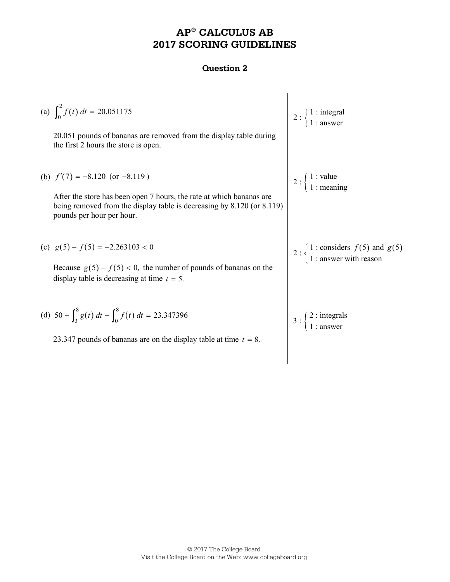# **AP® CALCULUS AB 2017 SCORING GUIDELINES**

| (a) $\int_0^2 f(t) dt = 20.051175$<br>20.051 pounds of bananas are removed from the display table during<br>the first 2 hours the store is open.                                                                   | 1 : integral<br>  1 : answer                                                                                  |
|--------------------------------------------------------------------------------------------------------------------------------------------------------------------------------------------------------------------|---------------------------------------------------------------------------------------------------------------|
| (b) $f'(7) = -8.120$ (or $-8.119$ )<br>After the store has been open 7 hours, the rate at which bananas are<br>being removed from the display table is decreasing by 8.120 (or 8.119)<br>pounds per hour per hour. | 2 : $\begin{cases} 1 : \text{value} \\ 1 : \text{meaning} \end{cases}$                                        |
| (c) $g(5) - f(5) = -2.263103 < 0$<br>Because $g(5) - f(5) < 0$ , the number of pounds of bananas on the<br>display table is decreasing at time $t = 5$ .                                                           | 2 : $\begin{cases} 1 : \text{considers } f(5) \text{ and } g(5) \\ 1 : \text{answer with reason} \end{cases}$ |
| (d) $50 + \int_{3}^{8} g(t) dt - \int_{0}^{8} f(t) dt = 23.347396$<br>23.347 pounds of bananas are on the display table at time $t = 8$ .                                                                          | $2:$ integrals<br>1 : answer                                                                                  |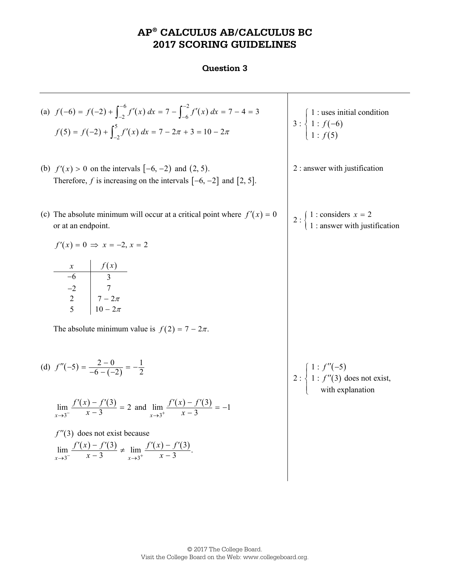## **AP® CALCULUS AB/CALCULUS BC 2017 SCORING GUIDELINES**

#### **Question 3**

(a)  $f(-6) = f(-2) + \int_{-2}^{-6} f'(x) dx = 7 - \int_{-6}^{-2} f'(x) dx = 7 - 4 = 3$  $f(5) = f(-2) + \int_{-2}^{5} f'(x) dx = 7 - 2\pi + 3 = 10 - 2\pi$   $\begin{cases} 3: \begin{cases} 1: f(-6) \\ 1: f(5) \end{cases} \end{cases}$  $(5)$  1 : uses initial condition  $3: \{ 1: f(-6) \}$  $1 : f(5)$ *f f*  $\begin{cases} 1:$ uses<br> $\frac{1}{1} : f(-) \end{cases}$  $\overline{\mathcal{L}}$ (b)  $f'(x) > 0$  on the intervals  $[-6, -2)$  and  $(2, 5)$ . Therefore,  $f$  is increasing on the intervals  $[-6, -2]$  and  $[2, 5]$ . 2 : answer with justification (c) The absolute minimum will occur at a critical point where  $f'(x) = 0$ or at an endpoint.  $f'(x) = 0 \Rightarrow x = -2, x = 2$ *x*  $f(x)$ −6 3 −2 7 2  $7 - 2\pi$ 5  $10 - 2\pi$ The absolute minimum value is  $f(2) = 7 - 2\pi$ . 2 :  $\begin{cases} 1 : \text{considers } x = 2 \\ 1 : \text{answer with justification} \end{cases}$ 2 ti  $x =$ (d)  $f''(-5) = \frac{2-0}{-6-(-2)} = -\frac{1}{2}$  $(x) - f'(3)$  $\lim_{x \to 3^{-}} \frac{f'(x) - f'(3)}{x - 3} = 2$  $\lim_{x \to 3^{-}} \frac{f'(x) - f'(3)}{x - 3} = 2$  and  $\lim_{x \to 3^{+}} \frac{f'(x) - f'(3)}{x - 3}$  $\lim \frac{f'(x) - f'(3)}{x^2} = -1$  $\lim_{x \to 3^+} x - 3$  $f'(x) - f$  $\rightarrow 3^+$  x −  $\frac{f'(x)-f'(3)}{x-3}=$ *f*  $\prime$  (3) does not exist because  $f'(x) - f'(3)$  ( )  $f'(x) - f'(3)$  $3^{-}$   $x \rightarrow 3$   $x \rightarrow 3$  $\lim \frac{f'(x) - f'(3)}{x^2} \neq \lim \frac{f'(x) - f'(3)}{x^2}$ .  $x \to 3$   $x - 3$   $x \to 3^+$   $x - 3$  $f'(x) - f'(3)$  *f*  $f'(x) - f'(x)$  $\frac{1}{x+3}$   $x-3$   $\frac{1}{x+3}$   $x$  $\frac{-f'(3)}{-3} \neq \lim_{x \to 3^+} \frac{f'(x) - f''}{x - 3}$  $'(x) - f'$  $(-5)$  $(3)$  $1 : f''(-5)$  $2:\{1: f''(3) \text{ does not exist},\}$ with explanation *f*  $\int\limits_{1}^{1} \frac{f''(-)}{f''(3)}$  $\big\{ 1:f''$  $\overline{\mathcal{L}}$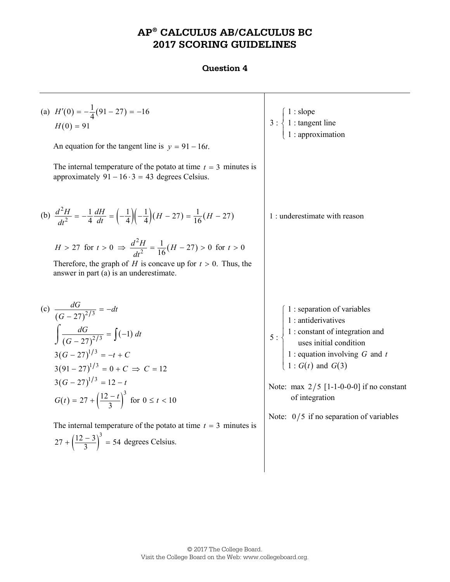# **AP® CALCULUS AB/CALCULUS BC 2017 SCORING GUIDELINES**

| (a) $H'(0) = -\frac{1}{4}(91 - 27) = -16$<br>$H(0) = 91$<br>An equation for the tangent line is $y = 91 - 16t$ .                                                                                                                                            | 3 : $\begin{cases} 1 : \text{slope} \\ 1 : \text{tangent line} \\ 1 : \text{approximation} \end{cases}$                                                                                                                                                                                                             |
|-------------------------------------------------------------------------------------------------------------------------------------------------------------------------------------------------------------------------------------------------------------|---------------------------------------------------------------------------------------------------------------------------------------------------------------------------------------------------------------------------------------------------------------------------------------------------------------------|
| The internal temperature of the potato at time $t = 3$ minutes is<br>approximately $91 - 16 \cdot 3 = 43$ degrees Celsius.                                                                                                                                  |                                                                                                                                                                                                                                                                                                                     |
| (b) $\frac{d^2H}{dt^2} = -\frac{1}{4}\frac{dH}{dt} = \left(-\frac{1}{4}\right)\left(-\frac{1}{4}\right)(H - 27) = \frac{1}{16}(H - 27)$                                                                                                                     | 1 : underestimate with reason                                                                                                                                                                                                                                                                                       |
| $H > 27$ for $t > 0$ $\Rightarrow \frac{d^2H}{dt^2} = \frac{1}{16}(H - 27) > 0$ for $t > 0$<br>Therefore, the graph of H is concave up for $t > 0$ . Thus, the<br>answer in part (a) is an underestimate.                                                   |                                                                                                                                                                                                                                                                                                                     |
| (c) $\frac{dG}{(G-27)^{2/3}} = -dt$<br>$\int \frac{dG}{(G-27)^{2/3}} = \int (-1) dt$<br>$3(G-27)^{1/3} = -t + C$<br>$3(91-27)^{1/3} = 0 + C \Rightarrow C = 12$<br>$3(G-27)^{1/3} = 12-t$<br>$G(t) = 27 + \left(\frac{12-t}{3}\right)^3$ for $0 \le t < 10$ | 1 : separation of variables<br>5 : $\begin{cases}\n1: \text{antiderivatives} \\ 1: \text{constant of integration and} \\ \text{uses initial condition} \\ 1: \text{equation involving } G \text{ and } t \\ 1: G(t) \text{ and } G(3)\n\end{cases}$<br>Note: max $2/5$ [1-1-0-0-0] if no constant<br>of integration |
| The internal temperature of the potato at time $t = 3$ minutes is<br>$27 + \left(\frac{12-3}{3}\right)^3 = 54$ degrees Celsius.                                                                                                                             | Note: $0/5$ if no separation of variables                                                                                                                                                                                                                                                                           |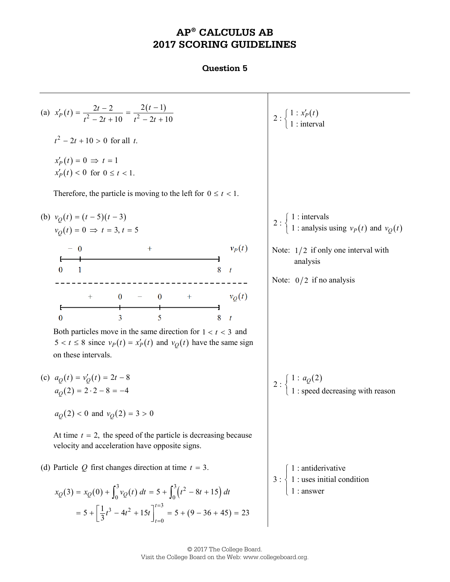# **AP® CALCULUS AB 2017 SCORING GUIDELINES**

#### **Question 5**

(a) 
$$
x'_P(t) = \frac{2t-2}{t^2-2t+10} = \frac{2(t-1)}{t^2-2t+10}
$$
  
\n $t^2-2t+10 > 0$  for all *t*.  
\n $x'_P(t) = 0 \Rightarrow t = 1$   
\n $x'_P(t) < 0$  for  $0 \le t < 1$ .  
\nTherefore, the particle is moving to the left for  $0 \le t < 1$ .  
\n(b)  $v_Q(t) = (t-5)(t-3)$   
\n $v_Q(t) = 0 \Rightarrow t = 3, t = 5$   
\n $-0$   
\n $0$   
\n $1$   
\n $0$   
\n $1$   
\n $0$   
\n $0$   
\n $0$   
\n $3$   
\n $1$   
\n $0$   
\n $0$   
\n $0$   
\n $3$   
\n $5$   
\n $0$   
\n $0$   
\n $0$   
\n $0$   
\n $0$   
\n $0$   
\n $0$   
\n $0$   
\n $0$   
\n $0$   
\n $0$   
\n $0$   
\n $0$   
\n $0$   
\n $0$   
\n $0$   
\n $0$   
\n $0$   
\n $0$   
\n $0$   
\n $0$   
\n $0$   
\n $0$   
\n $0$   
\n $0$   
\n $0$   
\n $0$   
\n $0$   
\n $0$   
\n $0$   
\n $0$   
\n $0$   
\n $0$   
\n $0$   
\n $0$   
\n $0$   
\n $0$   
\n $0$   
\n $0$   
\n $0$   
\n $0$ 

© 2017 The College Board. Visit the College Board on the Web: www.collegeboard.org.

 $t = 0$